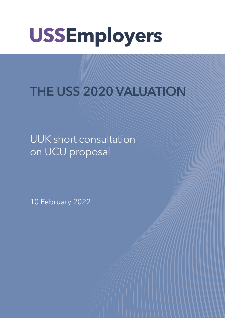# **USSEmployers**

THE USS 2020 VALUATION

UUK short consultation on UCU proposal **Service Service Service Service Service** 

10 February 2022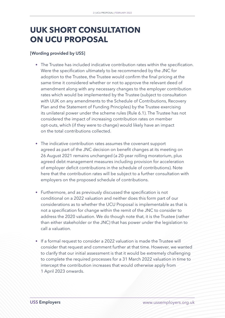## **UUK SHORT CONSULTATION ON UCU PROPOSAL**

#### [Wording provided by USS]

- The Trustee has included indicative contribution rates within the specification. Were the specification ultimately to be recommended by the JNC for adoption to the Trustee, the Trustee would confirm the final pricing at the same time it considered whether or not to approve the relevant deed of amendment along with any necessary changes to the employer contribution rates which would be implemented by the Trustee (subject to consultation with UUK on any amendments to the Schedule of Contributions, Recovery Plan and the Statement of Funding Principles) by the Trustee exercising its unilateral power under the scheme rules (Rule 6.1). The Trustee has not considered the impact of increasing contribution rates on member opt-outs, which (if they were to change) would likely have an impact on the total contributions collected.
- The indicative contribution rates assumes the covenant support agreed as part of the JNC decision on benefit changes at its meeting on 26 August 2021 remains unchanged (a 20-year rolling moratorium, plus agreed debt management measures including provision for acceleration of employer deficit contributions in the schedule of contributions). Note here that the contribution rates will be subject to a further consultation with employers on the proposed schedule of contributions.
- Furthermore, and as previously discussed the specification is not conditional on a 2022 valuation and neither does this form part of our considerations as to whether the UCU Proposal is implementable as that is not a specification for change within the remit of the JNC to consider to address the 2020 valuation. We do though note that, it is the Trustee (rather than either stakeholder or the JNC) that has power under the legislation to call a valuation.
- If a formal request to consider a 2022 valuation is made the Trustee will consider that request and comment further at that time. However, we wanted to clarify that our initial assessment is that it would be extremely challenging to complete the required processes for a 31 March 2022 valuation in time to intercept the contribution increases that would otherwise apply from 1 April 2023 onwards.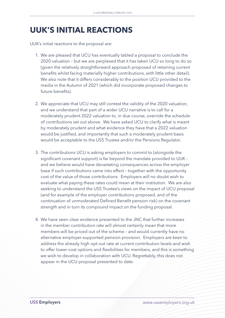### **UUK'S INITIAL REACTIONS**

UUK's initial reactions to the proposal are:

- 1. We are pleased that UCU has eventually tabled a proposal to conclude the 2020 valuation – but we are perplexed that it has taken UCU so long to do so (given the relatively straightforward approach proposed of retaining current benefits whilst facing materially higher contributions, with little other detail). We also note that it differs considerably to the position UCU provided to the media in the Autumn of 2021 (which did incorporate proposed changes to future benefits).
- 2. We appreciate that UCU may still contest the validity of the 2020 valuation, and we understand that part of a wider UCU narrative is to call for a moderately prudent 2022 valuation to, in due course, override the schedule of contributions set out above. We have asked UCU to clarify what is meant by moderately prudent and what evidence they have that a 2022 valuation would be justified, and importantly that such a moderately prudent basis would be acceptable to the USS Trustee and/or the Pensions Regulator.
- 3. The contributions UCU is asking employers to commit to (alongside the significant covenant support) is far beyond the mandate provided to UUK – and we believe would have devastating consequences across the employer base if such contributions came into effect – together with the opportunity cost of the value of those contributions. Employers will no doubt wish to evaluate what paying these rates could mean at their institution. We are also seeking to understand the USS Trustee's views on the impact of UCU proposal (and for example of the employer contributions proposed, and of the continuation of unmoderated Defined Benefit pension risk) on the covenant strength and in turn its compound impact on the funding proposal.
- 4. We have seen clear evidence presented to the JNC that further increases in the member contribution rate will almost certainly mean that more members will be priced out of the scheme – and would currently have no alternative employer-supported pension provision. Employers are keen to address the already high opt-out rate at current contribution levels and wish to offer lower-cost options and flexibilities for members, and this is something we wish to develop in collaboration with UCU. Regrettably, this does not appear in the UCU proposal presented to date.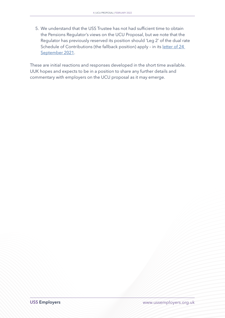5. We understand that the USS Trustee has not had sufficient time to obtain the Pensions Regulator's views on the UCU Proposal, but we note that the Regulator has previously reserved its position should 'Leg 2' of the dual rate Schedule of Contributions (the fallback position) apply - in its letter of 24 [September 2021](https://www.uss.co.uk/-/media/project/ussmainsite/files/about-us/valuations_yearly/2020-valuation/tpr-letter-to-uss-240921.pdf?rev=50c17d40a915484bbaff1e42c2c5b23b&hash=1FD6C44FC657DC03F686CBC9A741F368).

These are initial reactions and responses developed in the short time available. UUK hopes and expects to be in a position to share any further details and commentary with employers on the UCU proposal as it may emerge.